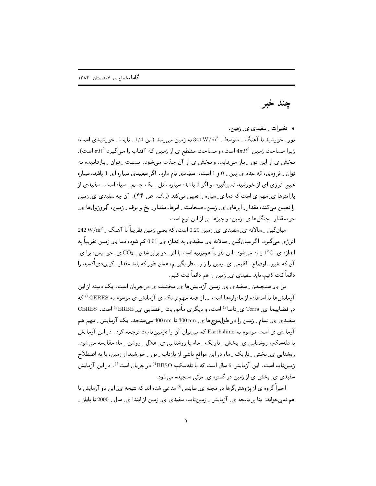چند خبر

• تغییرات ِ سفیدی ی ِ زمین.

نور ِ خورشید با آهنگ ِ متوسط ِ 341 W/m2 به زمین میرسد (این 1/4 ِ ثابت ِ خورشیدی است، زيرا مساحت زمين  $4\pi R^2$ است، و مساحت مقطع ي از زمين كه آفتاب را مىگيرد  $\pi R^2$  است). بخش ی از این نور ـ باز میتابد، و بخش ی از آن جذب می شود. نسبت ـ توان ـ بازتابیده به توان ِ فرودی، که عدد ی بین ِ 0 و 1 است، سفیدی نام دارد. اگر سفیدی سیاره ای 1 باشد، سیاره هیچ انرژی ای از خورشید نمی گیرد، و اگر 0 باشد، سپاره مثل پیک جسم په سپاه است. سفیدی از پارامترها ی ِ مهم ی است که دما ی ِ سیاره را تعیین میکند (ر.ک. ص ۴۴). آن چه سفیدی ی ِ زمین را تعیین میکند، مقدار ِ ابرهای ی ِ زمین، ضخامت ِ ابرها، مقدار ِ یخ و برف ِ زمین، آئِروزولها ی ِ جو، مقدار \_ جنگلها ي\_ زمين، و چيزها يي از اين نوع است.

 $242\,\mathrm{W/m}^2$  میانگین ۱۳سالانه ی ِ سفیدی ی زمین 0.29 است، که یعنی زمین تقریباً با آهنگ ۱۰۰۰۰  $242\,\mathrm{W/m}^2$ انرژی میگیرد. اگر میانگین ِ سالانه ی ِ سفیدی به اندازه ی ِ 0.01 کم شود، دما ی ِ زمین تقریباً به اندازه ی ِ 1°C زیاد میشود. این تقریباً هممرتبه است با اثر ِ دو برابر شدن ِ CO2 ی ِ جو. پس، برا ی ِ آن که تغییر <sub>-</sub> اوضاع <sub>-</sub> اقلیمی ی<sub>-</sub> زمین را زیر <sub>-</sub> نظر بگیریم، همان طور که باید مقدار <sub>-</sub> کربندی|کسید را دائماً ثبت کنیم، باید سفیدی ی ِ زمین را هم دائماً ثبت کنیم.

برا ی ِ سنجیدن ِ سفیدی ی ِ زمین آزمایشها ی ِ مختلف ی در جریان است. یک دسته از این آزمایشها با استفاده از ماهوارهها است ـــ از همه مهمتر یک ی آزمایش ی موسوم به CERES<sup>1</sup> که در فضاپیما ی ِ Terra ی ِ ناسا<sup>2)</sup> است، و دیگری مأموریت ِ فضایبی ی ِ ERBE<sup>3)</sup> است. CERES است سفیدی ی ِ تمام ِ زمین را در طول موجها ی ِ 300 nm تا 300 nm میسنجد. یک آزمایش ِ مهم هم آزمایش ی است موسوم به Earthshine که میتوان آن را «زمینتاب» ترجمه کرد. در این آزمایش با تلهسکپ روشنایی ی ِ بخش ِ تاریک ِ ماه با روشنایی ی ِ هلال ِ روشن ِ ماه مقایسه می شود. روشنایی ی ِ بخش ِ تاریک ِ ماه در این مواقع ناشی ازبارتاب ِ نور ِ خورشید از زمین، یا به اصطلاح زمینتاب است. این آزمایش 6 سال است که با تلهسکپ BBSO<sup>4)</sup> در جریان است<sup>5</sup>). در این آزمایش سفیدی ی ِ بخش ی از زمین در گستره ی ِ مرئی سنجیده میشود.

اخیراً گروه ی ازپژوهشگرها در مجله ی ِ ساینس<sup>6)</sup> مدعبی شده اند که نتیجه ی ِ این دو آزمایش با هم نمیخواند: بنا بر نتیجه ی ِ آزمایش ِ ِ زمینتاب، سفیدی ی ِ زمین از ابتدا ی ِ سال ِ 2000 تا پایان ِ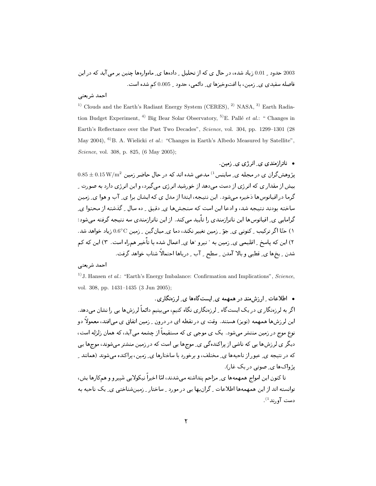2003 حدود \_ 0.01 زیاد شده، در حال ی که از تحلیل \_ دادهها ی ِ ماهوارهها چنین بر می آید که در این فاصله سفیدی ی ِ زمین، با افتوخیزها ی ِ دائمی، حدود ِ 0.005 کم شده است.

## احمد شريعتي

<sup>1)</sup> Clouds and the Earth's Radiant Energy System (CERES), <sup>2)</sup> NASA, <sup>3)</sup> Earth Radiation Budget Experiment, <sup>4)</sup> Big Bear Solar Observatory, <sup>5)</sup>E. Pallé et al.: " Changes in Earth's Reflectance over the Past Two Decades", Science, vol. 304, pp. 1299-1301 (28) May 2004), <sup>6)</sup>B. A. Wielicki et al.: "Changes in Earth's Albedo Measured by Satellite", Science, vol. 308, p. 825, (6 May 2005);

 $\ldots$ ه ناترا $\lceil \det(z_1, z_2, z_3, z_4, z_5) \rceil$ 

 $0.85 \pm 0.15$  بژوهش گران ی در مجله ی ساینس <sup>1)</sup> مدعی شده اند که در حال حاضر زمین 2 $+0.15\,\rm{W/m^2}$ بیش از مقدار ی که انرژی از دست می دهد از خورشید انرژی می گیرد، و این انرژی دارد به صورت ِ گرما در اقیانوس ها ذخیره می شود. این نتیجه، ابتدا از مدل ی که ایشان برا ی ِ آب و هوا ی ِ زمین ساخته بودند نتیجه شد، و ادعا این است که سنجشها ی ِ دقیق ِ ِ ده سال ِ گذشته از محتوا ی ِ گرامایی ی ِ اقیانوس ها این ناترازمندی را تأیید می کند. از این ناترازمندی سه نتیجه گرفته می شود: ۱) حتّا اگر ترکیب <sub>-</sub> کنونی ی ِ جوّ <sub>- (</sub>مین تغییر نکند، دما ی ِ میان گین <sub>- (</sub>مین ©0.6° زیاد خواهد شد. ۲) این که پاسخ ِ اقلیمی ی ِ زمین به ' نیرو 'ها ی ِ اعمال شده با تأخیر همراه است. ۳) این که کم شدن \_ يخها ي\_ قطبي و بالا آمدن \_ سطح \_ آب \_ درياها احتمالاً شتاب خواهد گرفت.

## احمد شريعتي

<sup>1)</sup> J. Hansen *et al.*: "Earth's Energy Imbalance: Confirmation and Implications", Science. vol. 308, pp. 1431-1435 (3 Jun 2005);

• اطلاعات ان:شمند در همهمه ی ایستگاهها ی لرزهنگاری. اگر به لر زمنگار ی در یک ایستگاه <sub>-</sub> لر زمنگاری نگاه کنیم، می بینیم دائماً لر زش ها یی را نشان می دهد. این لرزشها همهمه (نویز) هستند. وقت ی در نقطه ای در درون ِ زمین اتفاق ی می|فتد، معمولاً دو نوع موج در زمین منتشر میشود . یک ی موجبی ی که مستقیماً از چشمه می آید، که همان زلزله است، دیگر ی لرزشها یی که ناشی از پراکندهگی ی ِ موجها یی است که در زمین منشتر میشوند، موجها یی که در نتیجه ی ِ عبور از ناحیهها ی ِ مختلف، و برخورد با ساختارها ی ِ زمین، پراکنده میشوند (همانند ِ پژواکها ی صوتی در یک غان.

تا کنون این امواج همهمهها ی ِ مزاحم پنداشته می شدند، امّا اخیراً نیکولایی شَییر و و همکارها پش، توانسته اند از این همهمهها اطلاعات <sub>-</sub> گرانبها یی در مورد <sub>-</sub> ساختار <sub>-</sub> زمینشناختی ی ِ یک ناحیه به  $^{(1)}$ دست آه,ند